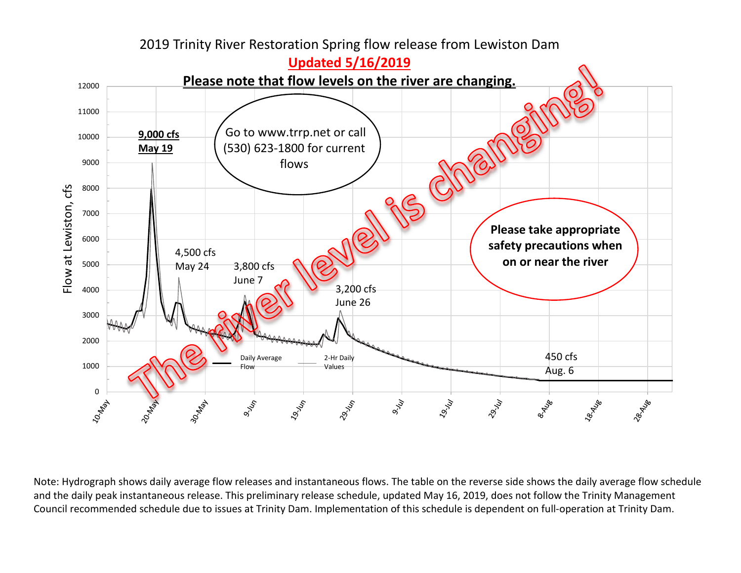

2019 Trinity River Restoration Spring flow release from Lewiston Dam

Note: Hydrograph shows daily average flow releases and instantaneous flows. The table on the reverse side shows the daily average flow schedule and the daily peak instantaneous release. This preliminary release schedule, updated May 16, 2019, does not follow the Trinity Management Council recommended schedule due to issues at Trinity Dam. Implementation of this schedule is dependent on full-operation at Trinity Dam.